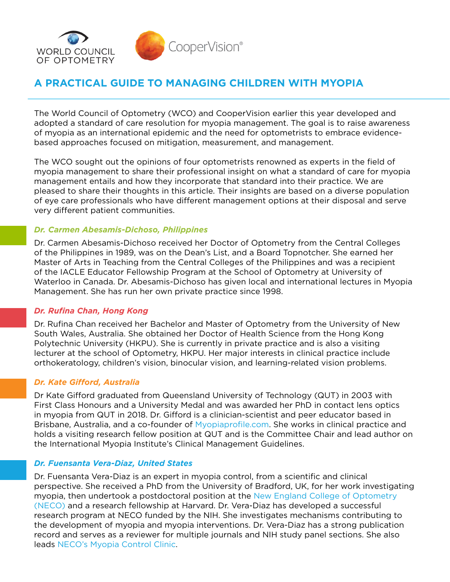

# **A PRACTICAL GUIDE TO MANAGING CHILDREN WITH MYOPIA**

The World Council of Optometry (WCO) and CooperVision earlier this year developed and adopted a standard of care resolution for myopia management. The goal is to raise awareness of myopia as an international epidemic and the need for optometrists to embrace evidencebased approaches focused on mitigation, measurement, and management.

The WCO sought out the opinions of four optometrists renowned as experts in the field of myopia management to share their professional insight on what a standard of care for myopia management entails and how they incorporate that standard into their practice. We are pleased to share their thoughts in this article. Their insights are based on a diverse population of eye care professionals who have different management options at their disposal and serve very different patient communities.

#### *Dr. Carmen Abesamis-Dichoso, Philippines*

Dr. Carmen Abesamis-Dichoso received her Doctor of Optometry from the Central Colleges of the Philippines in 1989, was on the Dean's List, and a Board Topnotcher. She earned her Master of Arts in Teaching from the Central Colleges of the Philippines and was a recipient of the IACLE Educator Fellowship Program at the School of Optometry at University of Waterloo in Canada. Dr. Abesamis-Dichoso has given local and international lectures in Myopia Management. She has run her own private practice since 1998.

#### *Dr. Rufina Chan, Hong Kong*

Dr. Rufina Chan received her Bachelor and Master of Optometry from the University of New South Wales, Australia. She obtained her Doctor of Health Science from the Hong Kong Polytechnic University (HKPU). She is currently in private practice and is also a visiting lecturer at the school of Optometry, HKPU. Her major interests in clinical practice include orthokeratology, children's vision, binocular vision, and learning-related vision problems.

#### *Dr. Kate Gifford, Australia*

Dr Kate Gifford graduated from Queensland University of Technology (QUT) in 2003 with First Class Honours and a University Medal and was awarded her PhD in contact lens optics in myopia from QUT in 2018. Dr. Gifford is a clinician-scientist and peer educator based in Brisbane, Australia, and a co-founder of [Myopiaprofile.com](http://Myopiaprofile.com). She works in clinical practice and holds a visiting research fellow position at QUT and is the Committee Chair and lead author on the International Myopia Institute's Clinical Management Guidelines.

#### *Dr. Fuensanta Vera-Diaz, United States*

Dr. Fuensanta Vera-Diaz is an expert in myopia control, from a scientific and clinical perspective. She received a PhD from the University of Bradford, UK, for her work investigating myopia, then undertook a postdoctoral position at the [New England College of Optometry](https://www.necoeyecare.org/)  [\(NECO\)](https://www.necoeyecare.org/) and a research fellowship at Harvard. Dr. Vera-Diaz has developed a successful research program at NECO funded by the NIH. She investigates mechanisms contributing to the development of myopia and myopia interventions. Dr. Vera-Diaz has a strong publication record and serves as a reviewer for multiple journals and NIH study panel sections. She also leads [NECO's Myopia Control Clinic](https://www.necoeyecare.org/services/myopia-control-clinic/).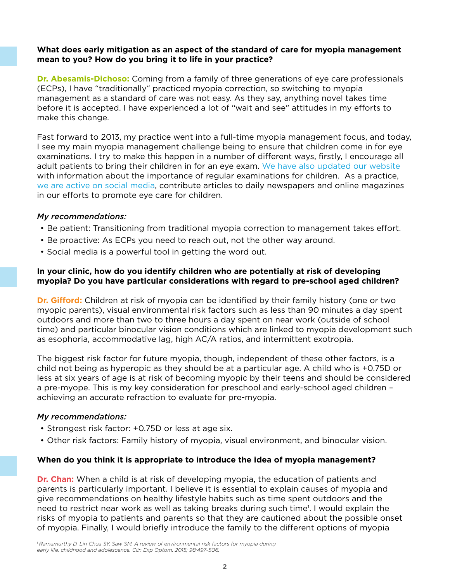#### **What does early mitigation as an aspect of the standard of care for myopia management mean to you? How do you bring it to life in your practice?**

**Dr. Abesamis-Dichoso:** Coming from a family of three generations of eye care professionals (ECPs), I have "traditionally" practiced myopia correction, so switching to myopia management as a standard of care was not easy. As they say, anything novel takes time before it is accepted. I have experienced a lot of "wait and see" attitudes in my efforts to make this change.

Fast forward to 2013, my practice went into a full-time myopia management focus, and today, I see my main myopia management challenge being to ensure that children come in for eye examinations. I try to make this happen in a number of different ways, firstly, I encourage all adult patients to bring their children in for an eye exam. [We have also updated our website](https://www.abesamiseyecare.com/)  with information about the importance of regular examinations for children. As a practice, [we are active on social media,](https://www.facebook.com/abesamiseye) contribute articles to daily newspapers and online magazines in our efforts to promote eye care for children.

#### *My recommendations:*

- Be patient: Transitioning from traditional myopia correction to management takes effort.
- Be proactive: As ECPs you need to reach out, not the other way around.
- Social media is a powerful tool in getting the word out.

## **In your clinic, how do you identify children who are potentially at risk of developing myopia? Do you have particular considerations with regard to pre-school aged children?**

**Dr. Gifford:** Children at risk of myopia can be identified by their family history (one or two myopic parents), visual environmental risk factors such as less than 90 minutes a day spent outdoors and more than two to three hours a day spent on near work (outside of school time) and particular binocular vision conditions which are linked to myopia development such as esophoria, accommodative lag, high AC/A ratios, and intermittent exotropia.

The biggest risk factor for future myopia, though, independent of these other factors, is a child not being as hyperopic as they should be at a particular age. A child who is +0.75D or less at six years of age is at risk of becoming myopic by their teens and should be considered a pre-myope. This is my key consideration for preschool and early-school aged children – achieving an accurate refraction to evaluate for pre-myopia.

#### *My recommendations:*

- Strongest risk factor: +0.75D or less at age six.
- Other risk factors: Family history of myopia, visual environment, and binocular vision.

#### **When do you think it is appropriate to introduce the idea of myopia management?**

**Dr. Chan:** When a child is at risk of developing myopia, the education of patients and parents is particularly important. I believe it is essential to explain causes of myopia and give recommendations on healthy lifestyle habits such as time spent outdoors and the need to restrict near work as well as taking breaks during such time<sup>1</sup>. I would explain the risks of myopia to patients and parents so that they are cautioned about the possible onset of myopia. Finally, I would briefly introduce the family to the different options of myopia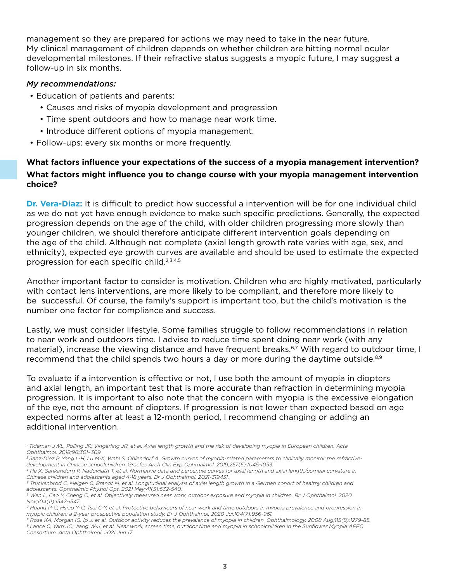management so they are prepared for actions we may need to take in the near future. My clinical management of children depends on whether children are hitting normal ocular developmental milestones. If their refractive status suggests a myopic future, I may suggest a follow-up in six months.

#### *My recommendations:*

- Education of patients and parents:
	- Causes and risks of myopia development and progression
	- Time spent outdoors and how to manage near work time.
	- Introduce different options of myopia management.
- Follow-ups: every six months or more frequently.

## **What factors influence your expectations of the success of a myopia management intervention? What factors might influence you to change course with your myopia management intervention choice?**

**Dr. Vera-Diaz:** It is difficult to predict how successful a intervention will be for one individual child as we do not yet have enough evidence to make such specific predictions. Generally, the expected progression depends on the age of the child, with older children progressing more slowly than younger children, we should therefore anticipate different intervention goals depending on the age of the child. Although not complete (axial length growth rate varies with age, sex, and ethnicity), expected eye growth curves are available and should be used to estimate the expected progression for each specific child.<sup>2,3,4,5</sup>

Another important factor to consider is motivation. Children who are highly motivated, particularly with contact lens interventions, are more likely to be compliant, and therefore more likely to be successful. Of course, the family's support is important too, but the child's motivation is the number one factor for compliance and success.

Lastly, we must consider lifestyle. Some families struggle to follow recommendations in relation to near work and outdoors time. I advise to reduce time spent doing near work (with any material), increase the viewing distance and have frequent breaks.<sup>6,7</sup> With regard to outdoor time, I recommend that the child spends two hours a day or more during the daytime outside.<sup>8,9</sup>

To evaluate if a intervention is effective or not, I use both the amount of myopia in diopters and axial length, an important test that is more accurate than refraction in determining myopia progression. It is important to also note that the concern with myopia is the excessive elongation of the eye, not the amount of diopters. If progression is not lower than expected based on age expected norms after at least a 12-month period, I recommend changing or adding an additional intervention.

*3 Sanz-Diez P, Yang L-H, Lu M-X, Wahl S, Ohlendorf A. Growth curves of myopia-related parameters to clinically monitor the refractivedevelopment in Chinese schoolchildren. Graefes Arch Clin Exp Ophthalmol. 2019;257(5):1045-1053.*

*<sup>2</sup> Tideman JWL, Polling JR, Vingerling JR, et al. Axial length growth and the risk of developing myopia in European children. Acta Ophthalmol. 2018;96:301–309.*

*<sup>4</sup> He X, Sankaridurg P, Naduvilath T, et al. Normative data and percentile curves for axial length and axial length/corneal curvature in Chinese children and adolescents aged 4-18 years. Br J Ophthalmol. 2021-319431.*

*<sup>5</sup> Truckenbrod C, Meigen C, Brandt M, et al. Longitudinal analysis of axial length growth in a German cohort of healthy children and adolescents. Ophthalmic Physiol Opt. 2021 May;41(3):532-540.*

*<sup>6</sup> Wen L, Cao Y, Cheng Q, et al. Objectively measured near work, outdoor exposure and myopia in children. Br J Ophthalmol. 2020 Nov;104(11):1542-1547.*

*<sup>7</sup> Huang P-C, Hsiao Y-C, Tsai C-Y, et al. Protective behaviours of near work and time outdoors in myopia prevalence and progression in myopic children: a 2-year prospective population study. Br J Ophthalmol. 2020 Jul;104(7):956-961.*

*<sup>8</sup> Rose KA, Morgan IG, Ip J, et al. Outdoor activity reduces the prevalence of myopia in children. Ophthalmology. 2008 Aug;115(8):1279-85. 9 Lanca C, Yam JC, Jiang W-J, et al. Near work, screen time, outdoor time and myopia in schoolchildren in the Sunflower Myopia AEEC Consortium. Acta Ophthalmol. 2021 Jun 17.*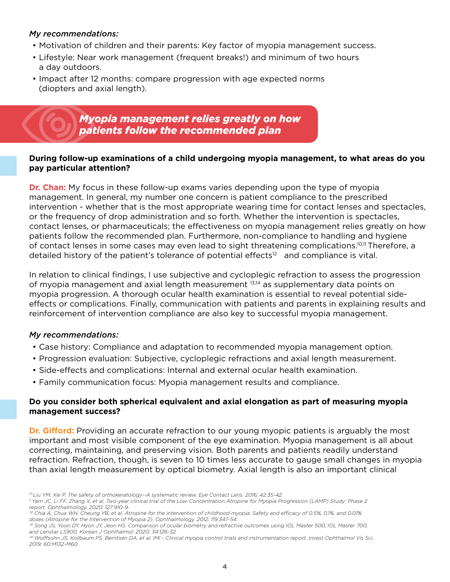## *My recommendations:*

- Motivation of children and their parents: Key factor of myopia management success.
- Lifestyle: Near work management (frequent breaks!) and minimum of two hours a day outdoors.
- Impact after 12 months: compare progression with age expected norms (diopters and axial length).

## *Myopia management relies greatly on how patients follow the recommended plan*

#### **During follow-up examinations of a child undergoing myopia management, to what areas do you pay particular attention?**

**Dr. Chan:** My focus in these follow-up exams varies depending upon the type of myopia management. In general, my number one concern is patient compliance to the prescribed intervention - whether that is the most appropriate wearing time for contact lenses and spectacles, or the frequency of drop administration and so forth. Whether the intervention is spectacles, contact lenses, or pharmaceuticals; the effectiveness on myopia management relies greatly on how patients follow the recommended plan. Furthermore, non-compliance to handling and hygiene of contact lenses in some cases may even lead to sight threatening complications.<sup>10,11</sup> Therefore, a detailed history of the patient's tolerance of potential effects $12$  and compliance is vital.

In relation to clinical findings, I use subjective and cycloplegic refraction to assess the progression of myopia management and axial length measurement 13,14 as supplementary data points on myopia progression. A thorough ocular health examination is essential to reveal potential sideeffects or complications. Finally, communication with patients and parents in explaining results and reinforcement of intervention compliance are also key to successful myopia management.

#### *My recommendations:*

- Case history: Compliance and adaptation to recommended myopia management option.
- Progression evaluation: Subjective, cycloplegic refractions and axial length measurement.
- Side-effects and complications: Internal and external ocular health examination.
- Family communication focus: Myopia management results and compliance.

#### **Do you consider both spherical equivalent and axial elongation as part of measuring myopia management success?**

**Dr. Gifford:** Providing an accurate refraction to our young myopic patients is arguably the most important and most visible component of the eye examination. Myopia management is all about correcting, maintaining, and preserving vision. Both parents and patients readily understand refraction. Refraction, though, is seven to 10 times less accurate to gauge small changes in myopia than axial length measurement by optical biometry. Axial length is also an important clinical

*<sup>10</sup> Liu YM, Xie P. The safety of orthokeratology--A systematic review. Eye Contact Lens. 2016; 42:35-42.*

*<sup>11</sup> Yam JC, Li FF, Zhang X, et al. Two-year clinical trial of the Low-Concentration Atropine for Myopia Progression (LAMP) Study: Phase 2 report. Ophthalmology. 2020; 127:910-9.*

*<sup>12</sup> Chia A, Chua WH, Cheung YB, et al. Atropine for the intervention of childhood myopia: Safety and efficacy of 0.5%, 0.1%, and 0.01% doses (Atropine for the Intervention of Myopia 2). Ophthalmology. 2012; 119:347-54.*

<sup>&</sup>lt;sup>13</sup> Song JS, Yoon DY, Hyon JY, Jeon HS. Comparison of ocular biometry and refractive outcomes using IOL Master 500, IOL Master 700, *and Lenstar LS900. Korean J Ophthalmol. 2020; 34:126-32.*

*<sup>14</sup> Wolffsohn JS, Kollbaum PS, Berntsen DA, et al. IMI - Clinical myopia control trials and instrumentation report. Invest Ophthalmol Vis Sci. 2019; 60:M132-M60.*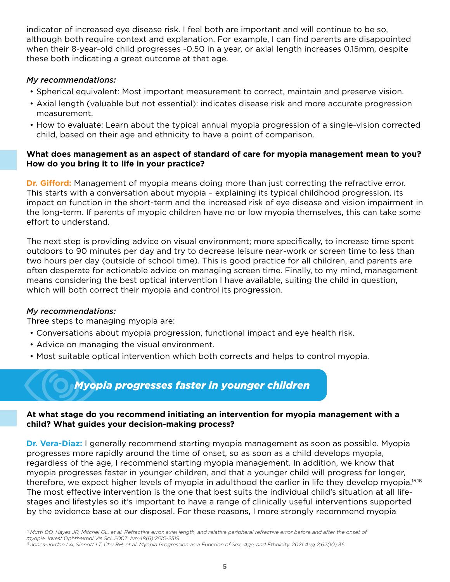indicator of increased eye disease risk. I feel both are important and will continue to be so, although both require context and explanation. For example, I can find parents are disappointed when their 8-year-old child progresses -0.50 in a year, or axial length increases 0.15mm, despite these both indicating a great outcome at that age.

## *My recommendations:*

- Spherical equivalent: Most important measurement to correct, maintain and preserve vision.
- Axial length (valuable but not essential): indicates disease risk and more accurate progression measurement.
- How to evaluate: Learn about the typical annual myopia progression of a single-vision corrected child, based on their age and ethnicity to have a point of comparison.

## **What does management as an aspect of standard of care for myopia management mean to you? How do you bring it to life in your practice?**

**Dr. Gifford:** Management of myopia means doing more than just correcting the refractive error. This starts with a conversation about myopia – explaining its typical childhood progression, its impact on function in the short-term and the increased risk of eye disease and vision impairment in the long-term. If parents of myopic children have no or low myopia themselves, this can take some effort to understand.

The next step is providing advice on visual environment; more specifically, to increase time spent outdoors to 90 minutes per day and try to decrease leisure near-work or screen time to less than two hours per day (outside of school time). This is good practice for all children, and parents are often desperate for actionable advice on managing screen time. Finally, to my mind, management means considering the best optical intervention I have available, suiting the child in question, which will both correct their myopia and control its progression.

## *My recommendations:*

Three steps to managing myopia are:

- Conversations about myopia progression, functional impact and eye health risk.
- Advice on managing the visual environment.
- Most suitable optical intervention which both corrects and helps to control myopia.



## **At what stage do you recommend initiating an intervention for myopia management with a child? What guides your decision-making process?**

**Dr. Vera-Diaz:** I generally recommend starting myopia management as soon as possible. Myopia progresses more rapidly around the time of onset, so as soon as a child develops myopia, regardless of the age, I recommend starting myopia management. In addition, we know that myopia progresses faster in younger children, and that a younger child will progress for longer, therefore, we expect higher levels of myopia in adulthood the earlier in life they develop myopia.15,16 The most effective intervention is the one that best suits the individual child's situation at all lifestages and lifestyles so it's important to have a range of clinically useful interventions supported by the evidence base at our disposal. For these reasons, I more strongly recommend myopia

*<sup>16</sup> Jones-Jordan LA, Sinnott LT, Chu RH, et al. Myopia Progression as a Function of Sex, Age, and Ethnicity. 2021 Aug 2;62(10):36.*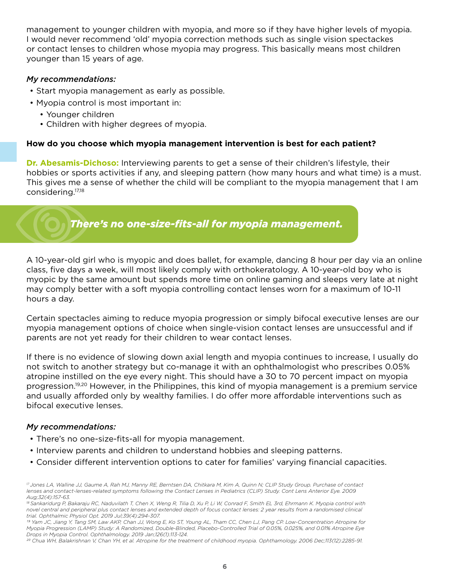management to younger children with myopia, and more so if they have higher levels of myopia. I would never recommend 'old' myopia correction methods such as single vision spectackes or contact lenses to children whose myopia may progress. This basically means most children younger than 15 years of age.

#### *My recommendations:*

- Start myopia management as early as possible.
- Myopia control is most important in:
	- Younger children
	- Children with higher degrees of myopia.

#### **How do you choose which myopia management intervention is best for each patient?**

**Dr. Abesamis-Dichoso:** Interviewing parents to get a sense of their children's lifestyle, their hobbies or sports activities if any, and sleeping pattern (how many hours and what time) is a must. This gives me a sense of whether the child will be compliant to the myopia management that I am considering.17,18

*There's no one-size-fits-all for myopia management.*

A 10-year-old girl who is myopic and does ballet, for example, dancing 8 hour per day via an online class, five days a week, will most likely comply with orthokeratology. A 10-year-old boy who is myopic by the same amount but spends more time on online gaming and sleeps very late at night may comply better with a soft myopia controlling contact lenses worn for a maximum of 10-11 hours a day.

Certain spectacles aiming to reduce myopia progression or simply bifocal executive lenses are our myopia management options of choice when single-vision contact lenses are unsuccessful and if parents are not yet ready for their children to wear contact lenses.

If there is no evidence of slowing down axial length and myopia continues to increase, I usually do not switch to another strategy but co-manage it with an ophthalmologist who prescribes 0.05% atropine instilled on the eye every night. This should have a 30 to 70 percent impact on myopia progression.19,20 However, in the Philippines, this kind of myopia management is a premium service and usually afforded only by wealthy families. I do offer more affordable interventions such as bifocal executive lenses.

#### *My recommendations:*

- There's no one-size-fits-all for myopia management.
- Interview parents and children to understand hobbies and sleeping patterns.
- Consider different intervention options to cater for families' varying financial capacities.

*<sup>17</sup> Jones LA, Walline JJ, Gaume A, Rah MJ, Manny RE, Berntsen DA, Chitkara M, Kim A, Quinn N; CLIP Study Group. Purchase of contact lenses and contact-lenses-related symptoms following the Contact Lenses in Pediatrics (CLIP) Study. Cont Lens Anterior Eye. 2009 Aug;32(4):157-63.*

*<sup>18</sup> Sankaridurg P, Bakaraju RC, Naduvilath T, Chen X, Weng R, Tilia D, Xu P, Li W, Conrad F, Smith EL 3rd, Ehrmann K. Myopia control with novel central and peripheral plus contact lenses and extended depth of focus contact lenses: 2 year results from a randomised clinical trial. Ophthalmic Physiol Opt. 2019 Jul;39(4):294-307.*

*<sup>19</sup> Yam JC, Jiang Y, Tang SM, Law AKP, Chan JJ, Wong E, Ko ST, Young AL, Tham CC, Chen LJ, Pang CP. Low-Concentration Atropine for Myopia Progression (LAMP) Study: A Randomized, Double-Blinded, Placebo-Controlled Trial of 0.05%, 0.025%, and 0.01% Atropine Eye Drops in Myopia Control. Ophthalmology. 2019 Jan;126(1):113-124.*

*<sup>20</sup> Chua WH, Balakrishnan V, Chan YH, et al. Atropine for the treatment of childhood myopia. Ophthamology. 2006 Dec;113(12):2285-91.*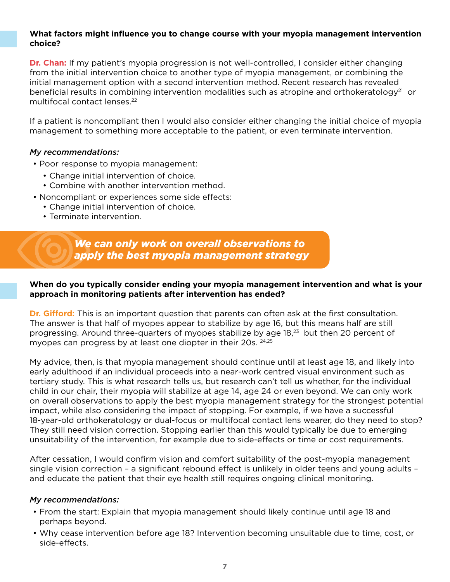#### **What factors might influence you to change course with your myopia management intervention choice?**

**Dr. Chan:** If my patient's myopia progression is not well-controlled, I consider either changing from the initial intervention choice to another type of myopia management, or combining the initial management option with a second intervention method. Recent research has revealed beneficial results in combining intervention modalities such as atropine and orthokeratology<sup>21</sup> or multifocal contact lenses.<sup>22</sup>

If a patient is noncompliant then I would also consider either changing the initial choice of myopia management to something more acceptable to the patient, or even terminate intervention.

#### *My recommendations:*

- Poor response to myopia management:
	- Change initial intervention of choice.
	- Combine with another intervention method.
- Noncompliant or experiences some side effects:
	- Change initial intervention of choice.
	- Terminate intervention.

*We can only work on overall observations to apply the best myopia management strategy*

## **When do you typically consider ending your myopia management intervention and what is your approach in monitoring patients after intervention has ended?**

**Dr. Gifford:** This is an important question that parents can often ask at the first consultation. The answer is that half of myopes appear to stabilize by age 16, but this means half are still progressing. Around three-quarters of myopes stabilize by age 18,<sup>23</sup> but then 20 percent of myopes can progress by at least one diopter in their 20s. <sup>24,25</sup>

My advice, then, is that myopia management should continue until at least age 18, and likely into early adulthood if an individual proceeds into a near-work centred visual environment such as tertiary study. This is what research tells us, but research can't tell us whether, for the individual child in our chair, their myopia will stabilize at age 14, age 24 or even beyond. We can only work on overall observations to apply the best myopia management strategy for the strongest potential impact, while also considering the impact of stopping. For example, if we have a successful 18-year-old orthokeratology or dual-focus or multifocal contact lens wearer, do they need to stop? They still need vision correction. Stopping earlier than this would typically be due to emerging unsuitability of the intervention, for example due to side-effects or time or cost requirements.

After cessation, I would confirm vision and comfort suitability of the post-myopia management single vision correction – a significant rebound effect is unlikely in older teens and young adults – and educate the patient that their eye health still requires ongoing clinical monitoring.

#### *My recommendations:*

- From the start: Explain that myopia management should likely continue until age 18 and perhaps beyond.
- Why cease intervention before age 18? Intervention becoming unsuitable due to time, cost, or side-effects.